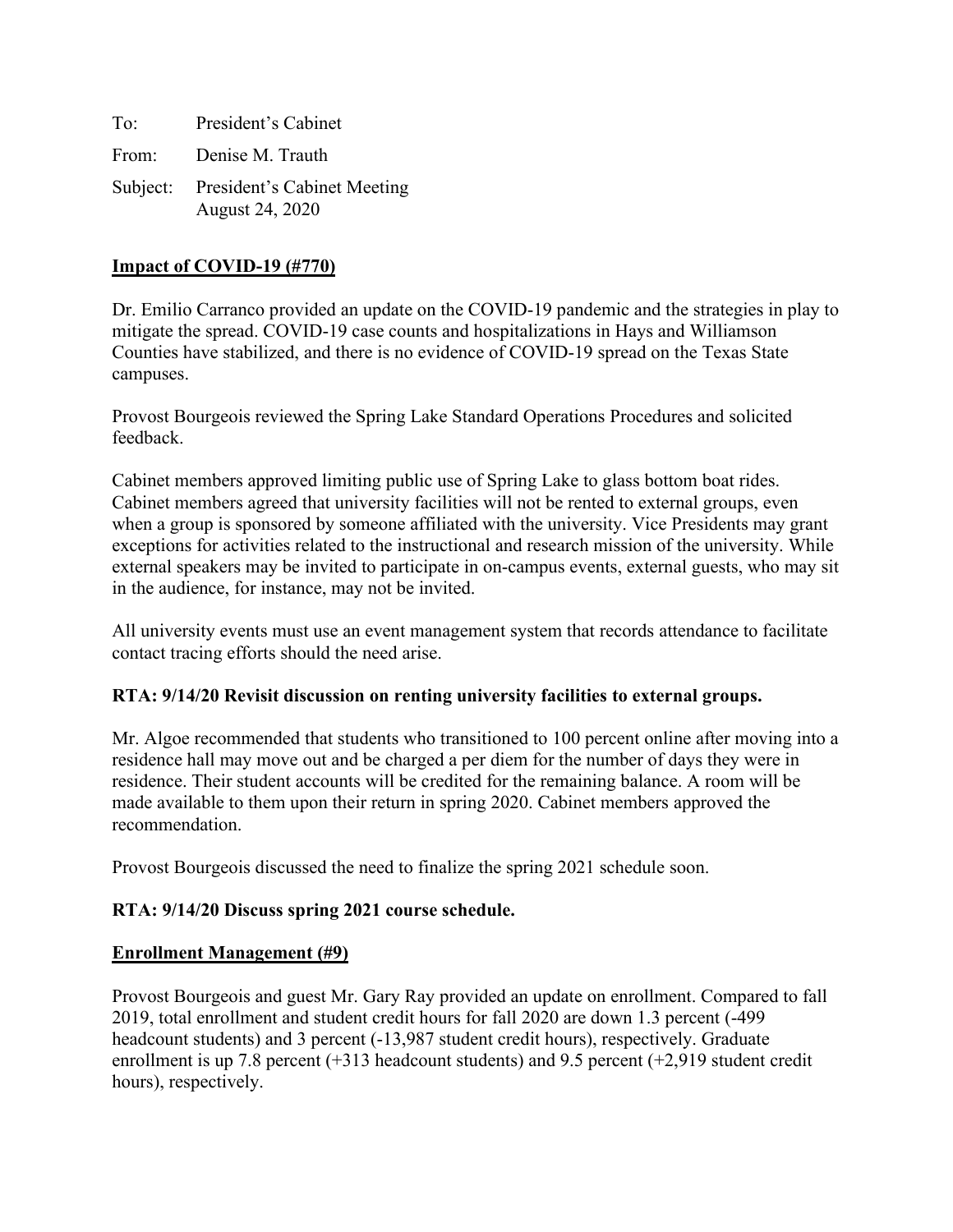| To: | President's Cabinet                                     |
|-----|---------------------------------------------------------|
|     | From: Denise M. Trauth                                  |
|     | Subject: President's Cabinet Meeting<br>August 24, 2020 |

#### **Impact of COVID-19 (#770)**

Dr. Emilio Carranco provided an update on the COVID-19 pandemic and the strategies in play to mitigate the spread. COVID-19 case counts and hospitalizations in Hays and Williamson Counties have stabilized, and there is no evidence of COVID-19 spread on the Texas State campuses.

Provost Bourgeois reviewed the Spring Lake Standard Operations Procedures and solicited feedback.

Cabinet members approved limiting public use of Spring Lake to glass bottom boat rides. Cabinet members agreed that university facilities will not be rented to external groups, even when a group is sponsored by someone affiliated with the university. Vice Presidents may grant exceptions for activities related to the instructional and research mission of the university. While external speakers may be invited to participate in on-campus events, external guests, who may sit in the audience, for instance, may not be invited.

All university events must use an event management system that records attendance to facilitate contact tracing efforts should the need arise.

### **RTA: 9/14/20 Revisit discussion on renting university facilities to external groups.**

Mr. Algoe recommended that students who transitioned to 100 percent online after moving into a residence hall may move out and be charged a per diem for the number of days they were in residence. Their student accounts will be credited for the remaining balance. A room will be made available to them upon their return in spring 2020. Cabinet members approved the recommendation.

Provost Bourgeois discussed the need to finalize the spring 2021 schedule soon.

### **RTA: 9/14/20 Discuss spring 2021 course schedule.**

#### **Enrollment Management (#9)**

Provost Bourgeois and guest Mr. Gary Ray provided an update on enrollment. Compared to fall 2019, total enrollment and student credit hours for fall 2020 are down 1.3 percent (-499 headcount students) and 3 percent (-13,987 student credit hours), respectively. Graduate enrollment is up 7.8 percent (+313 headcount students) and 9.5 percent (+2,919 student credit hours), respectively.